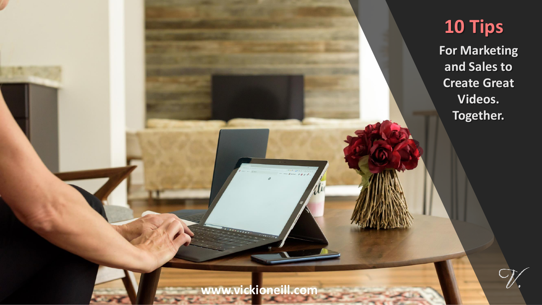#### **10 Tips**

**For Marketing and Sales to Create Great Videos. Together.**

**www.vickioneill.com**

 $\frac{1}{2}$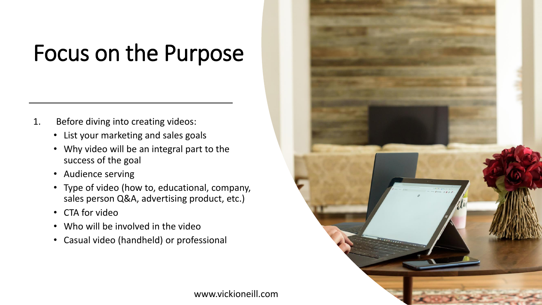### Focus on the Purpose

- 1. Before diving into creating videos:
	- List your marketing and sales goals
	- Why video will be an integral part to the success of the goal
	- Audience serving
	- Type of video (how to, educational, company, sales person Q&A, advertising product, etc.)
	- CTA for video
	- Who will be involved in the video
	- Casual video (handheld) or professional

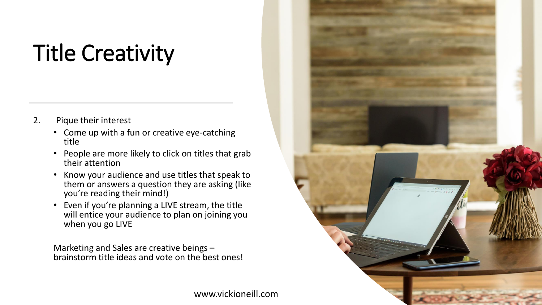### Title Creativity

- 2. Pique their interest
	- Come up with a fun or creative eye-catching title
	- People are more likely to click on titles that grab their attention
	- Know your audience and use titles that speak to them or answers a question they are asking (like you're reading their mind!)
	- Even if you're planning a LIVE stream, the title will entice your audience to plan on joining you when you go LIVE

Marketing and Sales are creative beings – brainstorm title ideas and vote on the best ones!



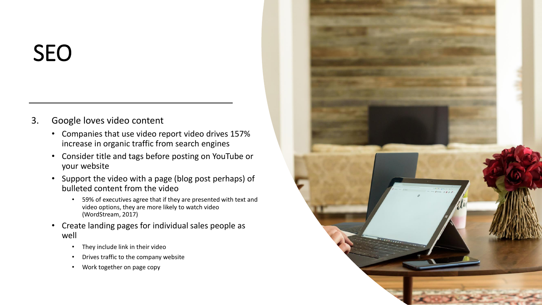#### SEO

- 3. Google loves video content
	- Companies that use video report video drives 157% increase in organic traffic from search engines
	- Consider title and tags before posting on YouTube or your website
	- Support the video with a page (blog post perhaps) of bulleted content from the video
		- 59% of executives agree that if they are presented with text and video options, they are more likely to watch video (WordStream, 2017)
	- Create landing pages for individual sales people as well
		- They include link in their video
		- Drives traffic to the company website
		- Work together on page copy

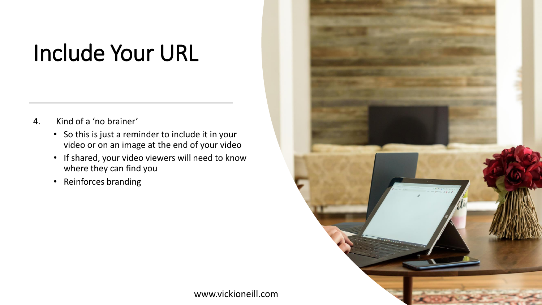#### Include Your URL

- 4. Kind of a 'no brainer'
	- So this is just a reminder to include it in your video or on an image at the end of your video
	- If shared, your video viewers will need to know where they can find you
	- Reinforces branding

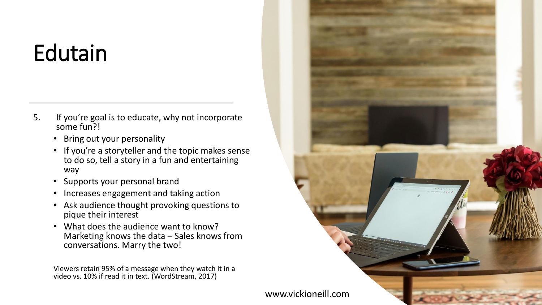## Edutain

- 5. If you're goal is to educate, why not incorporate some fun?!
	- Bring out your personality
	- If you're a storyteller and the topic makes sense to do so, tell a story in a fun and entertaining way
	- Supports your personal brand
	- Increases engagement and taking action
	- Ask audience thought provoking questions to pique their interest
	- What does the audience want to know? Marketing knows the data – Sales knows from conversations. Marry the two!

Viewers retain 95% of a message when they watch it in a video vs. 10% if read it in text. (WordStream, 2017)

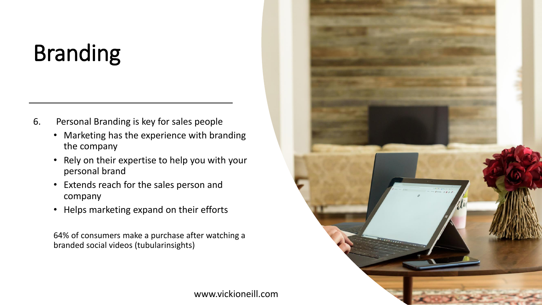# Branding

- 6. Personal Branding is key for sales people
	- Marketing has the experience with branding the company
	- Rely on their expertise to help you with your personal brand
	- Extends reach for the sales person and company
	- Helps marketing expand on their efforts

64% of consumers make a purchase after watching a branded social videos (tubularinsights)

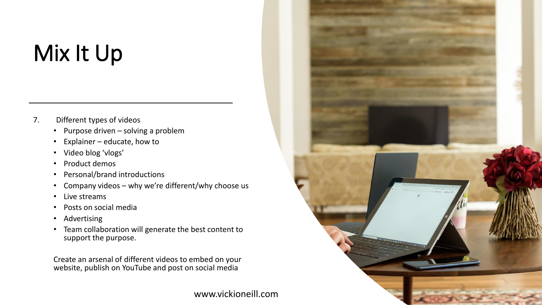## Mix It Up

- 7. Different types of videos
	- Purpose driven solving a problem
	- Explainer educate, how to
	- Video blog 'vlogs'
	- Product demos
	- Personal/brand introductions
	- Company videos why we're different/why choose us
	- Live streams
	- Posts on social media
	- Advertising
	- Team collaboration will generate the best content to support the purpose.

Create an arsenal of different videos to embed on your website, publish on YouTube and post on social media

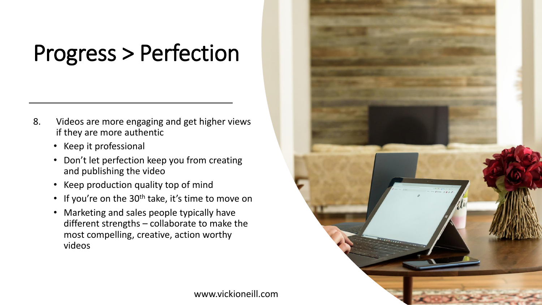### Progress > Perfection

- 8. Videos are more engaging and get higher views if they are more authentic
	- Keep it professional
	- Don't let perfection keep you from creating and publishing the video
	- Keep production quality top of mind
	- If you're on the 30<sup>th</sup> take, it's time to move on
	- Marketing and sales people typically have different strengths – collaborate to make the most compelling, creative, action worthy videos

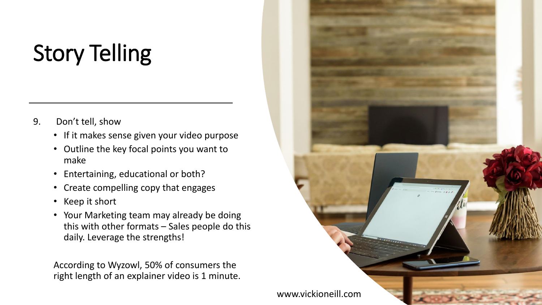# Story Telling

- 9. Don't tell, show
	- If it makes sense given your video purpose
	- Outline the key focal points you want to make
	- Entertaining, educational or both?
	- Create compelling copy that engages
	- Keep it short
	- Your Marketing team may already be doing this with other formats – Sales people do this daily. Leverage the strengths!

According to Wyzowl, 50% of consumers the right length of an explainer video is 1 minute.

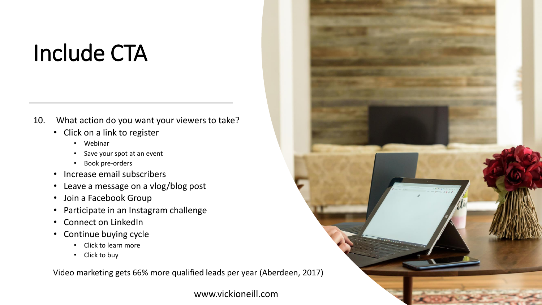#### Include CTA

- 10. What action do you want your viewers to take?
	- Click on a link to register
		- Webinar
		- Save your spot at an event
		- Book pre-orders
	- Increase email subscribers
	- Leave a message on a vlog/blog post
	- Join a Facebook Group
	- Participate in an Instagram challenge
	- Connect on LinkedIn
	- Continue buying cycle
		- Click to learn more
		- Click to buy

Video marketing gets 66% more qualified leads per year (Aberdeen, 2017)